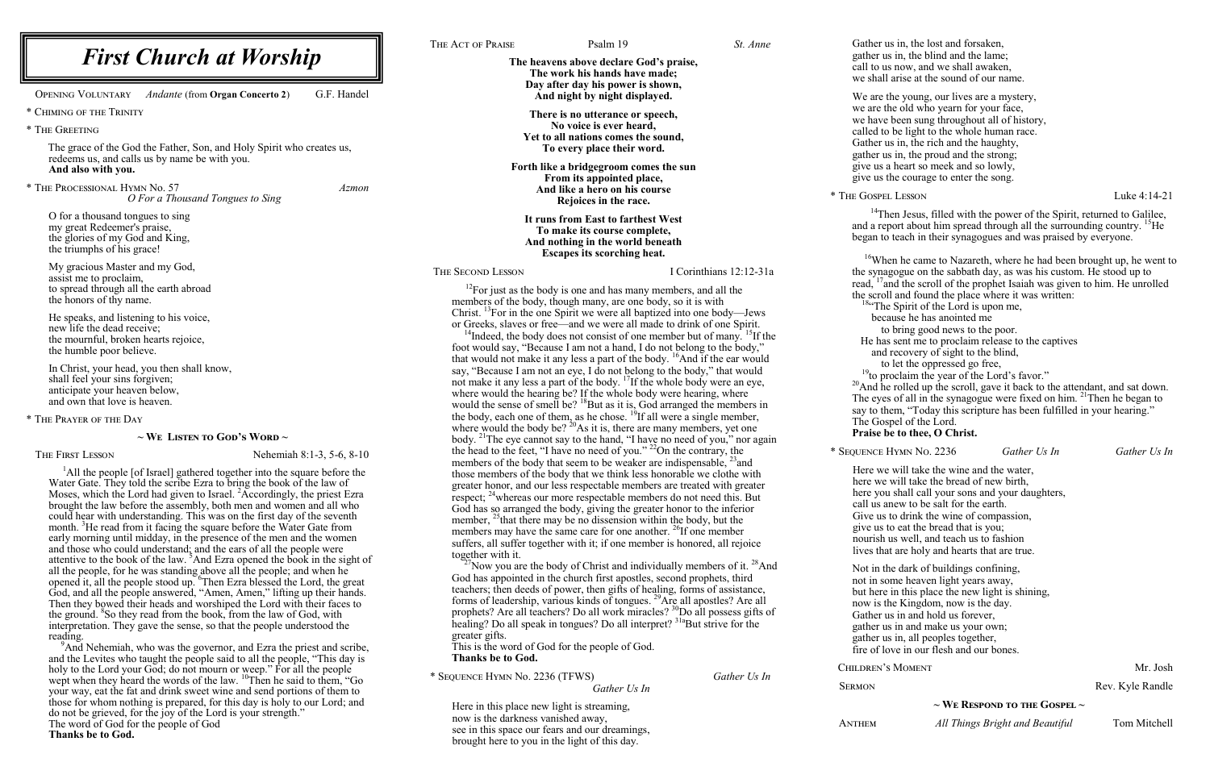see in this space our fears and our dreamings, brought here to you in the light of this day.

|                                                                                                                                                                | THE ACT OF PRAISE                          | Psalm 19                                                                                                                                                              | St. Anne                | Gather us                      |
|----------------------------------------------------------------------------------------------------------------------------------------------------------------|--------------------------------------------|-----------------------------------------------------------------------------------------------------------------------------------------------------------------------|-------------------------|--------------------------------|
| <b>First Church at Worship</b>                                                                                                                                 |                                            | The heavens above declare God's praise,                                                                                                                               |                         | gather us                      |
|                                                                                                                                                                |                                            | The work his hands have made;                                                                                                                                         |                         | call to us<br>we shall         |
| <b>OPENING VOLUNTARY</b><br>G.F. Handel<br><b>Andante (from Organ Concerto 2)</b>                                                                              |                                            | Day after day his power is shown,<br>And night by night displayed.                                                                                                    |                         |                                |
|                                                                                                                                                                |                                            |                                                                                                                                                                       |                         | We are the<br>we are th        |
| * CHIMING OF THE TRINITY                                                                                                                                       |                                            | There is no utterance or speech,<br>No voice is ever heard,                                                                                                           |                         | we have 1                      |
| * THE GREETING                                                                                                                                                 |                                            | Yet to all nations comes the sound,                                                                                                                                   |                         | called to                      |
| The grace of the God the Father, Son, and Holy Spirit who creates us,                                                                                          |                                            | To every place their word.                                                                                                                                            |                         | Gather us<br>gather us         |
| redeems us, and calls us by name be with you.<br>And also with you.                                                                                            |                                            | Forth like a bridgegroom comes the sun                                                                                                                                |                         | give us a                      |
| * THE PROCESSIONAL HYMN No. 57<br><i>Azmon</i>                                                                                                                 |                                            | From its appointed place,                                                                                                                                             |                         | give us the                    |
| O For a Thousand Tongues to Sing                                                                                                                               |                                            | And like a hero on his course<br>Rejoices in the race.                                                                                                                |                         | * THE GOSPEL                   |
| O for a thousand tongues to sing                                                                                                                               |                                            | It runs from East to farthest West                                                                                                                                    |                         | $14$ The                       |
| my great Redeemer's praise,                                                                                                                                    |                                            | To make its course complete,<br>And nothing in the world beneath                                                                                                      |                         | and a rep                      |
| the glories of my God and King,<br>the triumphs of his grace!                                                                                                  |                                            |                                                                                                                                                                       |                         | began to                       |
|                                                                                                                                                                |                                            | <b>Escapes its scorching heat.</b>                                                                                                                                    |                         | $16$ Whe                       |
| My gracious Master and my God,<br>assist me to proclaim,                                                                                                       | THE SECOND LESSON                          |                                                                                                                                                                       | I Corinthians 12:12-31a | the synag                      |
| to spread through all the earth abroad                                                                                                                         |                                            | $^{12}$ For just as the body is one and has many members, and all the                                                                                                 |                         | read, $^{17}$ an<br>the scroll |
| the honors of thy name.                                                                                                                                        |                                            | members of the body, though many, are one body, so it is with                                                                                                         |                         | $184$ cThe                     |
| He speaks, and listening to his voice,<br>new life the dead receive;                                                                                           |                                            | Christ. <sup>13</sup> For in the one Spirit we were all baptized into one body—Jews<br>or Greeks, slaves or free—and we were all made to drink of one Spirit.         |                         | beca                           |
| the mournful, broken hearts rejoice,                                                                                                                           |                                            | <sup>14</sup> Indeed, the body does not consist of one member but of many. <sup>15</sup> If the                                                                       |                         | to<br>He has                   |
| the humble poor believe.                                                                                                                                       |                                            | foot would say, "Because I am not a hand, I do not belong to the body,"<br>that would not make it any less a part of the body. <sup>16</sup> And if the ear would     |                         | and r                          |
| In Christ, your head, you then shall know,                                                                                                                     |                                            | say, "Because I am not an eye, I do not belong to the body," that would                                                                                               |                         | to<br>$19$ to prc              |
| shall feel your sins forgiven;<br>anticipate your heaven below,                                                                                                |                                            | not make it any less a part of the body. <sup>17</sup> If the whole body were an eye,                                                                                 |                         | $20$ And he                    |
| and own that love is heaven.                                                                                                                                   |                                            | where would the hearing be? If the whole body were hearing, where<br>would the sense of smell be? ${}^{18}$ But as it is, God arranged the members in                 |                         | The eyes                       |
| * THE PRAYER OF THE DAY                                                                                                                                        |                                            | the body, each one of them, as he chose. <sup>19</sup> If all were a single member,                                                                                   |                         | say to the                     |
| $\sim$ We Listen to God's Word $\sim$                                                                                                                          |                                            | where would the body be? $^{20}$ As it is, there are many members, yet one                                                                                            |                         | The Gosp<br>Praise be          |
|                                                                                                                                                                |                                            | body. <sup>21</sup> The eye cannot say to the hand, "I have no need of you," nor again<br>the head to the feet, "I have no need of you." $^{22}$ On the contrary, the |                         | * SEQUENCE H                   |
| THE FIRST LESSON<br>Nehemiah 8:1-3, 5-6, 8-10                                                                                                                  |                                            | members of the body that seem to be weaker are indispensable, $^{23}$ and                                                                                             |                         |                                |
| <sup>1</sup> All the people [of Israel] gathered together into the square before the                                                                           |                                            | those members of the body that we think less honorable we clothe with                                                                                                 |                         | Here we<br>here we y           |
| Water Gate. They told the scribe Ezra to bring the book of the law of<br>Moses, which the Lord had given to Israel. <sup>2</sup> Accordingly, the priest Ezra  |                                            | greater honor, and our less respectable members are treated with greater<br>respect; <sup>24</sup> whereas our more respectable members do not need this. But         |                         | here you                       |
| brought the law before the assembly, both men and women and all who                                                                                            |                                            | God has so arranged the body, giving the greater honor to the inferior                                                                                                |                         | call us an                     |
| could hear with understanding. This was on the first day of the seventh<br>month. <sup>3</sup> He read from it facing the square before the Water Gate from    |                                            | member, $^{25}$ that there may be no dissension within the body, but the                                                                                              |                         | Give us t<br>give us to        |
| early morning until midday, in the presence of the men and the women                                                                                           |                                            | members may have the same care for one another. <sup>26</sup> If one member<br>suffers, all suffer together with it; if one member is honored, all rejoice            |                         | nourish u                      |
| and those who could understand; and the ears of all the people were<br>attentive to the book of the law. <sup>5</sup> And Ezra opened the book in the sight of | together with it.                          |                                                                                                                                                                       |                         | lives that                     |
| all the people, for he was standing above all the people; and when he                                                                                          |                                            | <sup>27</sup> Now you are the body of Christ and individually members of it. <sup>28</sup> And                                                                        |                         | Not in the                     |
| opened it, all the people stood up. <sup>6</sup> Then Ezra blessed the Lord, the great                                                                         |                                            | God has appointed in the church first apostles, second prophets, third<br>teachers; then deeds of power, then gifts of healing, forms of assistance,                  |                         | not in sor                     |
| God, and all the people answered, "Amen, Amen," lifting up their hands.<br>Then they bowed their heads and worshiped the Lord with their faces to              |                                            | forms of leadership, various kinds of tongues. <sup>29</sup> Are all apostles? Are all                                                                                |                         | but here i<br>now is th        |
| the ground. <sup>8</sup> So they read from the book, from the law of God, with                                                                                 |                                            | prophets? Are all teachers? Do all work miracles? <sup>30</sup> Do all possess gifts of                                                                               |                         | Gather us                      |
| interpretation. They gave the sense, so that the people understood the<br>reading.                                                                             | greater gifts.                             | healing? Do all speak in tongues? Do all interpret? <sup>31a</sup> But strive for the                                                                                 |                         | gather us                      |
| <sup>9</sup> And Nehemiah, who was the governor, and Ezra the priest and scribe,                                                                               |                                            | This is the word of God for the people of God.                                                                                                                        |                         | gather us<br>fire of loy       |
| and the Levites who taught the people said to all the people, "This day is                                                                                     | <b>Thanks be to God.</b>                   |                                                                                                                                                                       |                         | CHILDREN'S                     |
| holy to the Lord your God; do not mourn or weep." For all the people<br>wept when they heard the words of the law. <sup>10</sup> Then he said to them, "Go     | * SEQUENCE HYMN No. 2236 (TFWS)            |                                                                                                                                                                       | Gather Us In            |                                |
| your way, eat the fat and drink sweet wine and send portions of them to                                                                                        |                                            | Gather Us In                                                                                                                                                          |                         | <b>SERMON</b>                  |
| those for whom nothing is prepared, for this day is holy to our Lord; and<br>do not be grieved, for the joy of the Lord is your strength."                     | Here in this place new light is streaming, |                                                                                                                                                                       |                         |                                |
| The word of God for the people of God                                                                                                                          | now is the darkness vanished away,         |                                                                                                                                                                       |                         | <b>ANTHEM</b>                  |

\* Sequence Hymn No. 2236 *Gather Us In Gather Us In*

will take the wine and the water, will take the bread of new birth, shall call your sons and your daughters, new to be salt for the earth. to drink the wine of compassion, o eat the bread that is you; us well, and teach us to fashion are holy and hearts that are true.

e dark of buildings confining, me heaven light years away, in this place the new light is shining, ne Kingdom, now is the day. s in and hold us forever, in and make us your own; in, all peoples together, ve in our flesh and our bones.

MOMENT Mr. Josh

Rev. Kyle Randle

## **~ We Respond to the Gospel ~**

Anthem *All Things Bright and Beautiful* Tom Mitchell

**Thanks be to God.**

in, the lost and forsaken, in, the blind and the lame; s now, and we shall awaken, arise at the sound of our name.

he young, our lives are a mystery, e old who yearn for your face, been sung throughout all of history, be light to the whole human race. s in, the rich and the haughty, in, the proud and the strong;  $\mu$  heart so meek and so lowly, he courage to enter the song.

 $\text{Lusson}$  Luke 4:14-21

en Jesus, filled with the power of the Spirit, returned to Galilee, and a report about him spread through all the surrounding country. <sup>15</sup>He teach in their synagogues and was praised by everyone.

> en he came to Nazareth, where he had been brought up, he went to gogue on the sabbath day, as was his custom. He stood up to nd the scroll of the prophet Isaiah was given to him. He unrolled and found the place where it was written:

Spirit of the Lord is upon me,

use he has anointed me

bring good news to the poor.

sent me to proclaim release to the captives

recovery of sight to the blind,

let the oppressed go free,

oclaim the year of the Lord's favor."

e rolled up the scroll, gave it back to the attendant, and sat down. The eyes of all in the synagogue were fixed on him.  $^{21}$ Then he began to em, "Today this scripture has been fulfilled in your hearing." pel of the Lord.

## **e** to thee, O Christ.